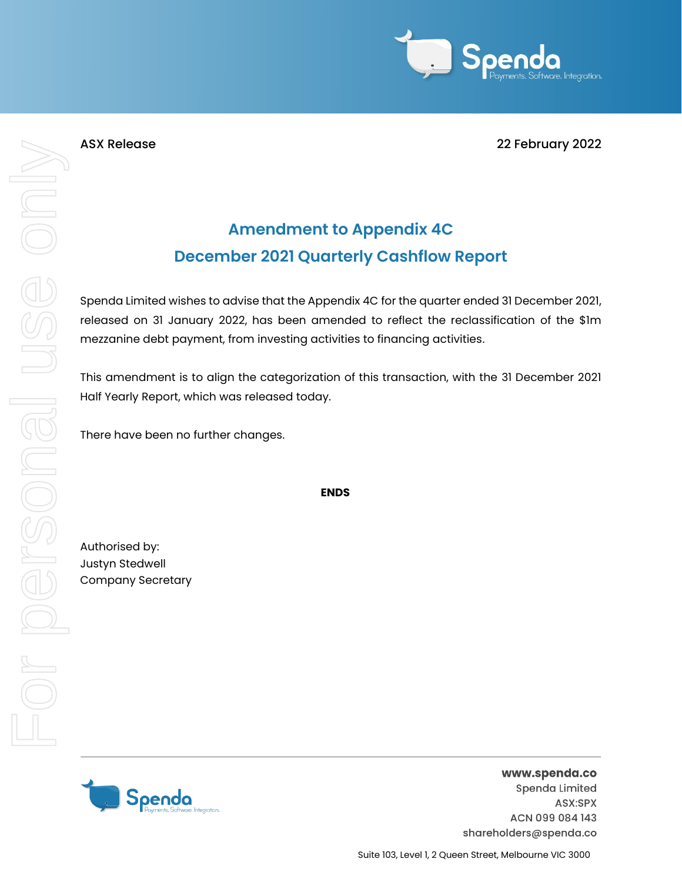

ASX Release 22 February 2022

# **Amendment to Appendix 4C December 2021 Quarterly Cashflow Report**

Spenda Limited wishes to advise that the Appendix 4C for the quarter ended 31 December 2021, released on 31 January 2022, has been amended to reflect the reclassification of the \$1m mezzanine debt payment, from investing activities to financing activities.

This amendment is to align the categorization of this transaction, with the 31 December 2021 Half Yearly Report, which was released today.

There have been no further changes.

**ENDS**

Authorised by: Justyn Stedwell Company Secretary

For personal use only

For personal use ond!



www.spenda.co Spenda Limited ASX:SPX ACN 099 084 143 shareholders@spenda.co

Suite 103, Level 1, 2 Queen Street, Melbourne VIC 3000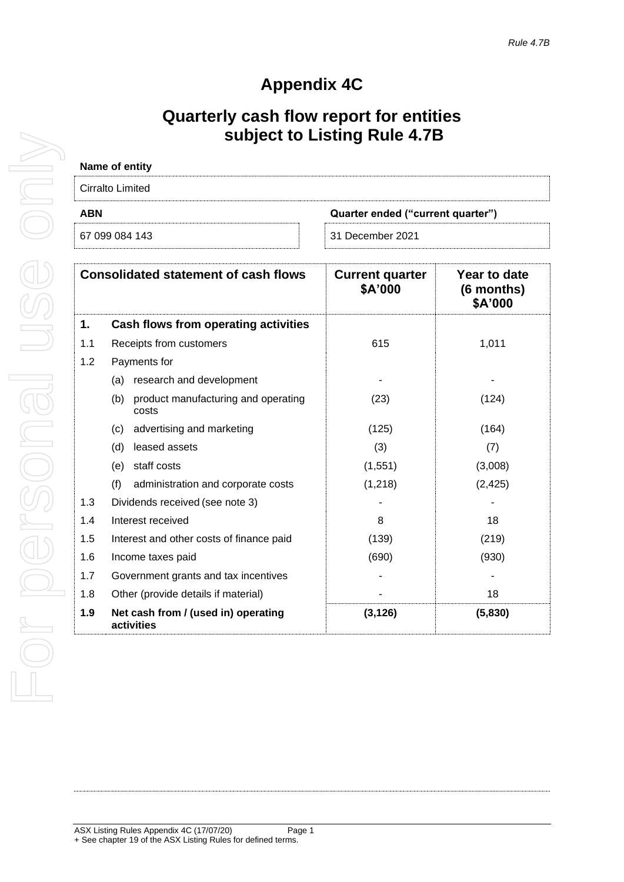## **Appendix 4C**

## **Quarterly cash flow report for entities subject to Listing Rule 4.7B**

| Name of entity                                  |                  |  |
|-------------------------------------------------|------------------|--|
| Cirralto Limited                                |                  |  |
| <b>ABN</b><br>Quarter ended ("current quarter") |                  |  |
| 67 099 084 143                                  | 31 December 2021 |  |

| <b>Consolidated statement of cash flows</b> |                                                     | <b>Current quarter</b><br>\$A'000 | Year to date<br>(6 months)<br>\$A'000 |
|---------------------------------------------|-----------------------------------------------------|-----------------------------------|---------------------------------------|
| 1.                                          | Cash flows from operating activities                |                                   |                                       |
| 1.1                                         | Receipts from customers                             | 615                               | 1,011                                 |
| 1.2                                         | Payments for                                        |                                   |                                       |
|                                             | research and development<br>(a)                     |                                   |                                       |
|                                             | (b)<br>product manufacturing and operating<br>costs | (23)                              | (124)                                 |
|                                             | advertising and marketing<br>(c)                    | (125)                             | (164)                                 |
|                                             | leased assets<br>(d)                                | (3)                               | (7)                                   |
|                                             | staff costs<br>(e)                                  | (1, 551)                          | (3,008)                               |
|                                             | (f)<br>administration and corporate costs           | (1, 218)                          | (2, 425)                              |
| 1.3                                         | Dividends received (see note 3)                     |                                   |                                       |
| 1.4                                         | Interest received                                   | 8                                 | 18                                    |
| 1.5                                         | Interest and other costs of finance paid            | (139)                             | (219)                                 |
| 1.6                                         | Income taxes paid                                   | (690)                             | (930)                                 |
| 1.7                                         | Government grants and tax incentives                |                                   |                                       |
| 1.8                                         | Other (provide details if material)                 |                                   | 18                                    |
| 1.9                                         | Net cash from / (used in) operating<br>activities   | (3, 126)                          | (5,830)                               |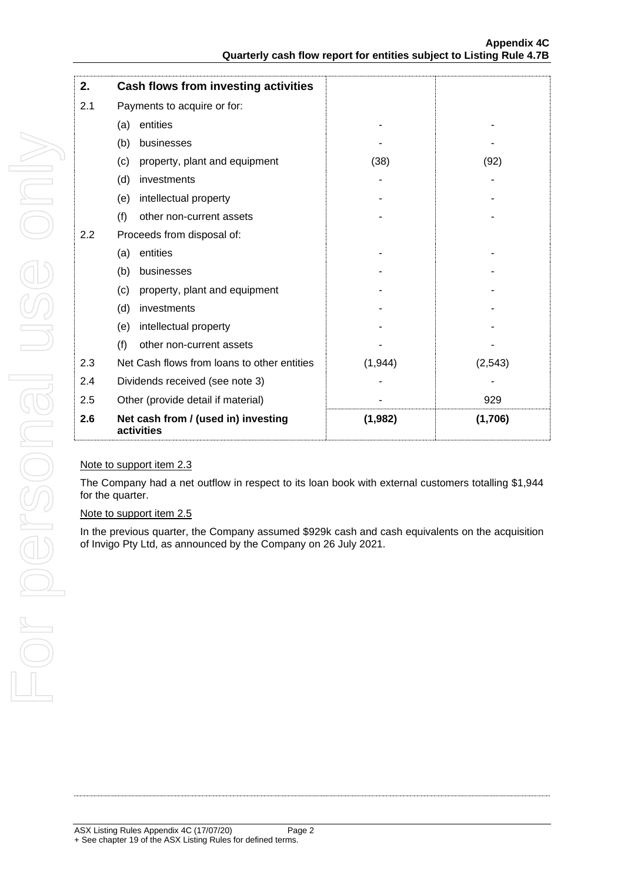| 2.  | Cash flows from investing activities              |         |          |
|-----|---------------------------------------------------|---------|----------|
| 2.1 | Payments to acquire or for:                       |         |          |
|     | entities<br>(a)                                   |         |          |
|     | (b)<br>businesses                                 |         |          |
|     | property, plant and equipment<br>(c)              | (38)    | (92)     |
|     | (d)<br>investments                                |         |          |
|     | intellectual property<br>(e)                      |         |          |
|     | (f)<br>other non-current assets                   |         |          |
| 2.2 | Proceeds from disposal of:                        |         |          |
|     | entities<br>(a)                                   |         |          |
|     | (b)<br>businesses                                 |         |          |
|     | property, plant and equipment<br>(c)              |         |          |
|     | (d)<br>investments                                |         |          |
|     | intellectual property<br>(e)                      |         |          |
|     | (f)<br>other non-current assets                   |         |          |
| 2.3 | Net Cash flows from loans to other entities       | (1,944) | (2, 543) |
| 2.4 | Dividends received (see note 3)                   |         |          |
| 2.5 | Other (provide detail if material)                |         | 929      |
| 2.6 | Net cash from / (used in) investing<br>activities | (1,982) | (1,706)  |

### Note to support item 2.3

The Company had a net outflow in respect to its loan book with external customers totalling \$1,944 for the quarter.

#### Note to support item 2.5

In the previous quarter, the Company assumed \$929k cash and cash equivalents on the acquisition of Invigo Pty Ltd, as announced by the Company on 26 July 2021.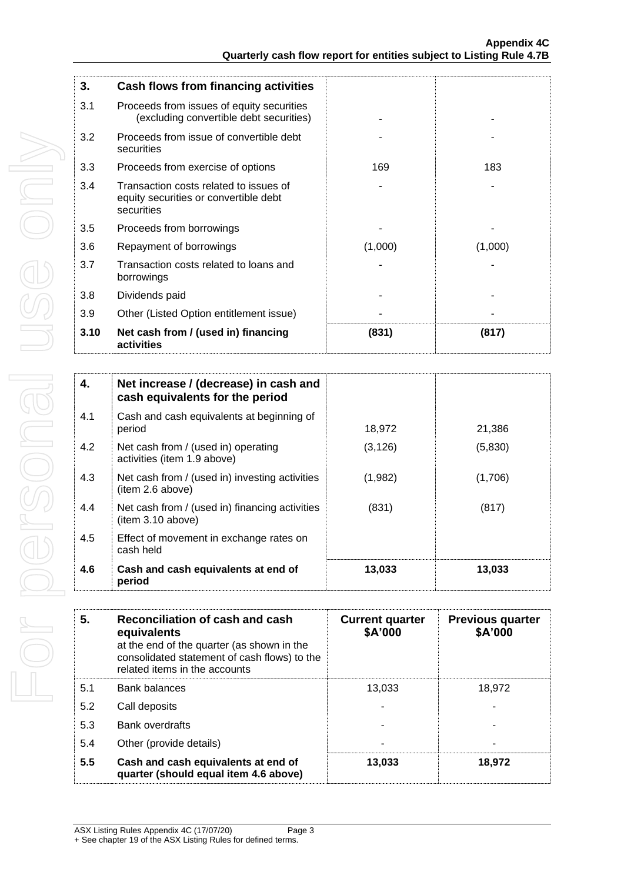| 3.   | Cash flows from financing activities                                                          |         |         |
|------|-----------------------------------------------------------------------------------------------|---------|---------|
| 3.1  | Proceeds from issues of equity securities<br>(excluding convertible debt securities)          |         |         |
| 3.2  | Proceeds from issue of convertible debt<br>securities                                         |         |         |
| 3.3  | Proceeds from exercise of options                                                             | 169     | 183     |
| 3.4  | Transaction costs related to issues of<br>equity securities or convertible debt<br>securities |         |         |
| 3.5  | Proceeds from borrowings                                                                      |         |         |
| 3.6  | Repayment of borrowings                                                                       | (1,000) | (1,000) |
| 3.7  | Transaction costs related to loans and<br>borrowings                                          |         |         |
| 3.8  | Dividends paid                                                                                |         |         |
| 3.9  | Other (Listed Option entitlement issue)                                                       |         |         |
| 3.10 | Net cash from / (used in) financing<br>activities                                             | (831)   | (817)   |

| 4.  | Net increase / (decrease) in cash and<br>cash equivalents for the period |          |         |
|-----|--------------------------------------------------------------------------|----------|---------|
| 4.1 | Cash and cash equivalents at beginning of<br>period                      | 18,972   | 21,386  |
| 4.2 | Net cash from / (used in) operating<br>activities (item 1.9 above)       | (3, 126) | (5,830) |
| 4.3 | Net cash from / (used in) investing activities<br>(item 2.6 above)       | (1,982)  | (1,706) |
| 4.4 | Net cash from / (used in) financing activities<br>item 3.10 above)       | (831)    | (817)   |
| 4.5 | Effect of movement in exchange rates on<br>cash held                     |          |         |
| 4.6 | Cash and cash equivalents at end of<br>period                            | 13,033   | 13,033  |

| 5.  | Reconciliation of cash and cash<br>equivalents<br>at the end of the quarter (as shown in the<br>consolidated statement of cash flows) to the<br>related items in the accounts | <b>Current quarter</b><br>\$A'000 | <b>Previous quarter</b><br>\$A'000 |
|-----|-------------------------------------------------------------------------------------------------------------------------------------------------------------------------------|-----------------------------------|------------------------------------|
| 5.1 | Bank balances                                                                                                                                                                 | 13,033                            | 18,972                             |
| 5.2 | Call deposits                                                                                                                                                                 |                                   |                                    |
| 5.3 | <b>Bank overdrafts</b>                                                                                                                                                        |                                   |                                    |
| 5.4 | Other (provide details)                                                                                                                                                       |                                   |                                    |
| 5.5 | Cash and cash equivalents at end of<br>quarter (should equal item 4.6 above)                                                                                                  | 13,033                            | 18,972                             |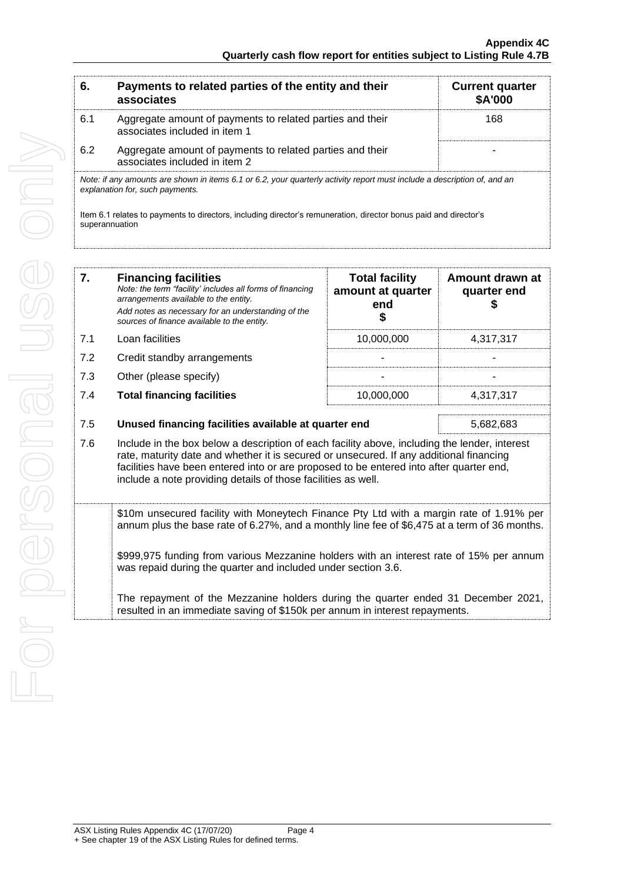| Payments to related parties of the entity and their<br>associates                          | <b>Current quarter</b><br>\$A'000                                                                                                                           |
|--------------------------------------------------------------------------------------------|-------------------------------------------------------------------------------------------------------------------------------------------------------------|
| Aggregate amount of payments to related parties and their<br>associates included in item 1 | 168                                                                                                                                                         |
| Aggregate amount of payments to related parties and their<br>associates included in item 2 |                                                                                                                                                             |
|                                                                                            |                                                                                                                                                             |
|                                                                                            | Note: if any amounts are shown in items 6.1 or 6.2, your quarterly activity report must include a description of, and an<br>explanation for, such payments. |

superannuation

| 7.  | <b>Financing facilities</b><br>Note: the term "facility' includes all forms of financing<br>arrangements available to the entity.<br>Add notes as necessary for an understanding of the<br>sources of finance available to the entity.                                                                                                               | <b>Total facility</b><br>amount at quarter<br>end<br>\$ | Amount drawn at<br>quarter end<br>S |
|-----|------------------------------------------------------------------------------------------------------------------------------------------------------------------------------------------------------------------------------------------------------------------------------------------------------------------------------------------------------|---------------------------------------------------------|-------------------------------------|
| 7.1 | Loan facilities                                                                                                                                                                                                                                                                                                                                      | 10,000,000                                              | 4,317,317                           |
| 7.2 | Credit standby arrangements                                                                                                                                                                                                                                                                                                                          |                                                         |                                     |
| 7.3 | Other (please specify)                                                                                                                                                                                                                                                                                                                               |                                                         |                                     |
| 7.4 | <b>Total financing facilities</b>                                                                                                                                                                                                                                                                                                                    | 10,000,000                                              | 4,317,317                           |
| 7.5 | Unused financing facilities available at quarter end<br>5,682,683                                                                                                                                                                                                                                                                                    |                                                         |                                     |
| 7.6 | Include in the box below a description of each facility above, including the lender, interest<br>rate, maturity date and whether it is secured or unsecured. If any additional financing<br>facilities have been entered into or are proposed to be entered into after quarter end,<br>include a note providing details of those facilities as well. |                                                         |                                     |
|     | \$10m unsecured facility with Moneytech Finance Pty Ltd with a margin rate of 1.91% per<br>annum plus the base rate of 6.27%, and a monthly line fee of \$6,475 at a term of 36 months.                                                                                                                                                              |                                                         |                                     |
|     | \$999,975 funding from various Mezzanine holders with an interest rate of 15% per annum                                                                                                                                                                                                                                                              |                                                         |                                     |

was repaid during the quarter and included under section 3.6.

The repayment of the Mezzanine holders during the quarter ended 31 December 2021, resulted in an immediate saving of \$150k per annum in interest repayments.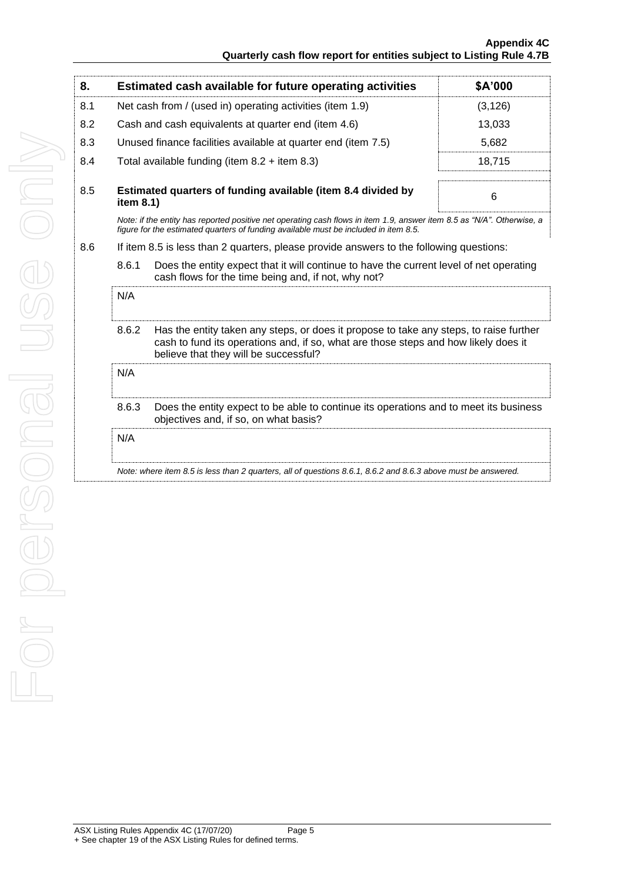| 8.  |                                                                                                                                                                                                                                 | Estimated cash available for future operating activities                                                                                                                                                       | \$A'000  |
|-----|---------------------------------------------------------------------------------------------------------------------------------------------------------------------------------------------------------------------------------|----------------------------------------------------------------------------------------------------------------------------------------------------------------------------------------------------------------|----------|
| 8.1 | Net cash from / (used in) operating activities (item 1.9)                                                                                                                                                                       |                                                                                                                                                                                                                | (3, 126) |
| 8.2 | Cash and cash equivalents at quarter end (item 4.6)                                                                                                                                                                             |                                                                                                                                                                                                                | 13,033   |
| 8.3 |                                                                                                                                                                                                                                 | Unused finance facilities available at quarter end (item 7.5)                                                                                                                                                  | 5,682    |
| 8.4 |                                                                                                                                                                                                                                 | Total available funding (item $8.2 +$ item $8.3$ )                                                                                                                                                             | 18,715   |
| 8.5 | Estimated quarters of funding available (item 8.4 divided by<br>item 8.1)                                                                                                                                                       |                                                                                                                                                                                                                | 6        |
|     |                                                                                                                                                                                                                                 | Note: if the entity has reported positive net operating cash flows in item 1.9, answer item 8.5 as "N/A". Otherwise, a<br>figure for the estimated quarters of funding available must be included in item 8.5. |          |
| 8.6 |                                                                                                                                                                                                                                 | If item 8.5 is less than 2 quarters, please provide answers to the following questions:                                                                                                                        |          |
|     | 8.6.1<br>Does the entity expect that it will continue to have the current level of net operating<br>cash flows for the time being and, if not, why not?                                                                         |                                                                                                                                                                                                                |          |
|     | N/A                                                                                                                                                                                                                             |                                                                                                                                                                                                                |          |
|     | 8.6.2<br>Has the entity taken any steps, or does it propose to take any steps, to raise further<br>cash to fund its operations and, if so, what are those steps and how likely does it<br>believe that they will be successful? |                                                                                                                                                                                                                |          |
|     | N/A                                                                                                                                                                                                                             |                                                                                                                                                                                                                |          |
|     | 8.6.3<br>Does the entity expect to be able to continue its operations and to meet its business<br>objectives and, if so, on what basis?                                                                                         |                                                                                                                                                                                                                |          |
|     | N/A                                                                                                                                                                                                                             |                                                                                                                                                                                                                |          |
|     |                                                                                                                                                                                                                                 | Note: where item 8.5 is less than 2 quarters, all of questions 8.6.1, 8.6.2 and 8.6.3 above must be answered.                                                                                                  |          |